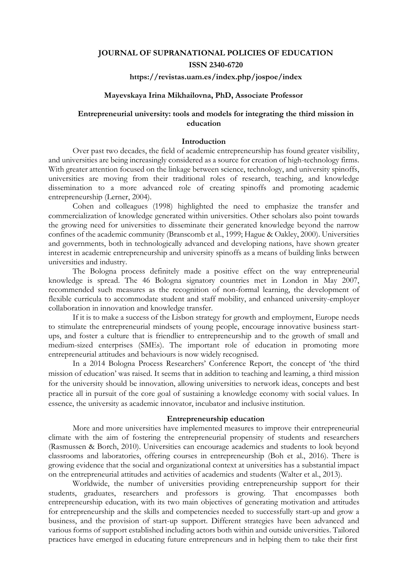# **JOURNAL OF SUPRANATIONAL POLICIES OF EDUCATION ISSN 2340-6720**

### **https://revistas.uam.es/index.php/jospoe/index**

### **Mayevskaya Irina Mikhailovna, PhD, Associate Professor**

## **Entrepreneurial university: tools and models for integrating the third mission in education**

### **Introduction**

Over past two decades, the field of academic entrepreneurship has found greater visibility, and universities are being increasingly considered as a source for creation of high-technology firms. With greater attention focused on the linkage between science, technology, and university spinoffs, universities are moving from their traditional roles of research, teaching, and knowledge dissemination to a more advanced role of creating spinoffs and promoting academic entrepreneurship (Lerner, 2004).

Cohen and colleagues (1998) highlighted the need to emphasize the transfer and commercialization of knowledge generated within universities. Other scholars also point towards the growing need for universities to disseminate their generated knowledge beyond the narrow confines of the academic community (Branscomb et al., 1999; Hague & Oakley, 2000). Universities and governments, both in technologically advanced and developing nations, have shown greater interest in academic entrepreneurship and university spinoffs as a means of building links between universities and industry.

The Bologna process definitely made a positive effect on the way entrepreneurial knowledge is spread. The 46 Bologna signatory countries met in London in May 2007, recommended such measures as the recognition of non-formal learning, the development of flexible curricula to accommodate student and staff mobility, and enhanced university-employer collaboration in innovation and knowledge transfer.

If it is to make a success of the Lisbon strategy for growth and employment, Europe needs to stimulate the entrepreneurial mindsets of young people, encourage innovative business startups, and foster a culture that is friendlier to entrepreneurship and to the growth of small and medium-sized enterprises (SMEs). The important role of education in promoting more entrepreneurial attitudes and behaviours is now widely recognised.

In a [2014 Bologna Process Researchers' Conference Report,](http://bologna-yerevan2015.ehea.info/files/06052015_FOHE-BPRC2_Final%20report.pdf) the concept of 'the third mission of education' was raised. It seems that in addition to teaching and learning, a third mission for the university should be innovation, allowing universities to network ideas, concepts and best practice all in pursuit of the core goal of sustaining a knowledge economy with social values. In essence, the university as academic innovator, incubator and inclusive institution.

#### **Entrepreneurship education**

More and more universities have implemented measures to improve their entrepreneurial climate with the aim of fostering the entrepreneurial propensity of students and researchers (Rasmussen & Borch, 2010). Universities can encourage academics and students to look beyond classrooms and laboratories, offering courses in entrepreneurship (Boh et al., 2016). There is growing evidence that the social and organizational context at universities has a substantial impact on the entrepreneurial attitudes and activities of academics and students (Walter et al., 2013).

Worldwide, the number of universities providing entrepreneurship support for their students, graduates, researchers and professors is growing. That encompasses both entrepreneurship education, with its two main objectives of generating motivation and attitudes for entrepreneurship and the skills and competencies needed to successfully start-up and grow a business, and the provision of start-up support. Different strategies have been advanced and various forms of support established including actors both within and outside universities. Tailored practices have emerged in educating future entrepreneurs and in helping them to take their first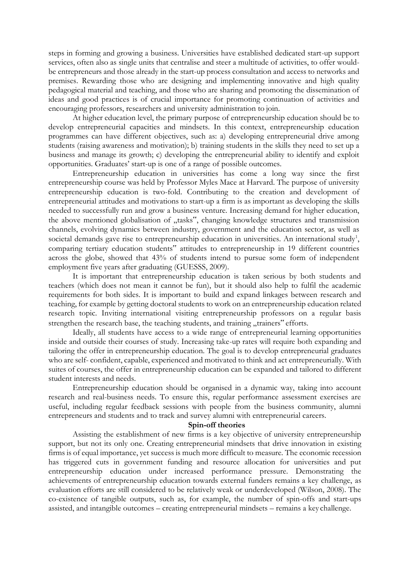steps in forming and growing a business. Universities have established dedicated start-up support services, often also as single units that centralise and steer a multitude of activities, to offer wouldbe entrepreneurs and those already in the start-up process consultation and access to networks and premises. Rewarding those who are designing and implementing innovative and high quality pedagogical material and teaching, and those who are sharing and promoting the dissemination of ideas and good practices is of crucial importance for promoting continuation of activities and encouraging professors, researchers and university administration to join.

At higher education level, the primary purpose of entrepreneurship education should be to develop entrepreneurial capacities and mindsets. In this context, entrepreneurship education programmes can have different objectives, such as: a) developing entrepreneurial drive among students (raising awareness and motivation); b) training students in the skills they need to set up a business and manage its growth; c) developing the entrepreneurial ability to identify and exploit opportunities. Graduates' start-up is one of a range of possible outcomes.

Entrepreneurship education in universities has come a long way since the first entrepreneurship course was held by Professor Myles Mace at Harvard. The purpose of university entrepreneurship education is two-fold. Contributing to the creation and development of entrepreneurial attitudes and motivations to start-up a firm is as important as developing the skills needed to successfully run and grow a business venture. Increasing demand for higher education, the above mentioned globalisation of "tasks", changing knowledge structures and transmission channels, evolving dynamics between industry, government and the education sector, as well as societal demands gave rise to entrepreneurship education in universities. An international study<sup>1</sup>, comparing tertiary education students" attitudes to entrepreneurship in 19 different countries across the globe, showed that 43% of students intend to pursue some form of independent employment five years after graduating (GUESSS, 2009).

It is important that entrepreneurship education is taken serious by both students and teachers (which does not mean it cannot be fun), but it should also help to fulfil the academic requirements for both sides. It is important to build and expand linkages between research and teaching, for example by getting doctoral students to work on an entrepreneurship education related research topic. Inviting international visiting entrepreneurship professors on a regular basis strengthen the research base, the teaching students, and training "trainers" efforts.

Ideally, all students have access to a wide range of entrepreneurial learning opportunities inside and outside their courses of study. Increasing take-up rates will require both expanding and tailoring the offer in entrepreneurship education. The goal is to develop entrepreneurial graduates who are self- confident, capable, experienced and motivated to think and act entrepreneurially. With suites of courses, the offer in entrepreneurship education can be expanded and tailored to different student interests and needs.

Entrepreneurship education should be organised in a dynamic way, taking into account research and real-business needs. To ensure this, regular performance assessment exercises are useful, including regular feedback sessions with people from the business community, alumni entrepreneurs and students and to track and survey alumni with entrepreneurial careers.

#### **Spin-off theories**

Assisting the establishment of new firms is a key objective of university entrepreneurship support, but not its only one. Creating entrepreneurial mindsets that drive innovation in existing firms is of equal importance, yet success is much more difficult to measure. The economic recession has triggered cuts in government funding and resource allocation for universities and put entrepreneurship education under increased performance pressure. Demonstrating the achievements of entrepreneurship education towards external funders remains a key challenge, as evaluation efforts are still considered to be relatively weak or underdeveloped (Wilson, 2008). The co-existence of tangible outputs, such as, for example, the number of spin-offs and start-ups assisted, and intangible outcomes – creating entrepreneurial mindsets – remains a key challenge.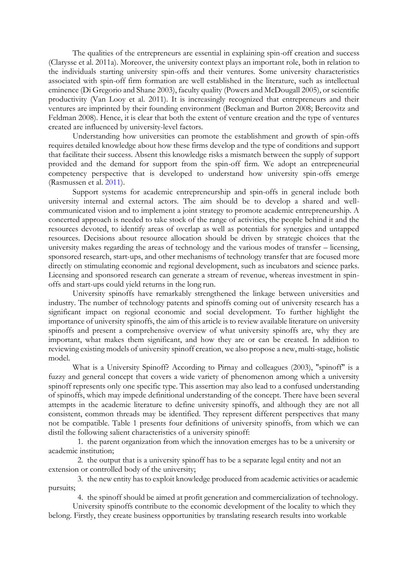The qualities of the entrepreneurs are essential in explaining spin-off creation and success (Clarysse et al. 2011a). Moreover, the university context plays an important role, both in relation to the individuals starting university spin-offs and their ventures. Some university characteristics associated with spin-off firm formation are well established in the literature, such as intellectual eminence (Di Gregorio and Shane 2003), faculty quality (Powers and McDougall 2005), or scientific productivity (Van Looy et al. 2011). It is increasingly recognized that entrepreneurs and their ventures are imprinted by their founding environment (Beckman and Burton 2008; Bercovitz and Feldman 2008). Hence, it is clear that both the extent of venture creation and the type of ventures created are influenced by university-level factors.

Understanding how universities can promote the establishment and growth of spin-offs requires detailed knowledge about how these firms develop and the type of conditions and support that facilitate their success. Absent this knowledge risks a mismatch between the supply of support provided and the demand for support from the spin-off firm. We adopt an entrepreneurial competency perspective that is developed to understand how university spin-offs emerge (Rasmussen et al. 2011).

Support systems for academic entrepreneurship and spin-offs in general include both university internal and external actors. The aim should be to develop a shared and wellcommunicated vision and to implement a joint strategy to promote academic entrepreneurship. A concerted approach is needed to take stock of the range of activities, the people behind it and the resources devoted, to identify areas of overlap as well as potentials for synergies and untapped resources. Decisions about resource allocation should be driven by strategic choices that the university makes regarding the areas of technology and the various modes of transfer – licensing, sponsored research, start-ups, and other mechanisms of technology transfer that are focused more directly on stimulating economic and regional development, such as incubators and science parks. Licensing and sponsored research can generate a stream of revenue, whereas investment in spinoffs and start-ups could yield returns in the long run.

University spinoffs have remarkably strengthened the linkage between universities and industry. The number of technology patents and spinoffs coming out of university research has a significant impact on regional economic and social development. To further highlight the importance of university spinoffs, the aim of this article is to review available literature on university spinoffs and present a comprehensive overview of what university spinoffs are, why they are important, what makes them significant, and how they are or can be created. In addition to reviewing existing models of university spinoff creation, we also propose a new, multi-stage, holistic model.

What is a University Spinoff? According to Pirnay and colleagues (2003), "spinoff" is a fuzzy and general concept that covers a wide variety of phenomenon among which a university spinoff represents only one specific type. This assertion may also lead to a confused understanding of spinoffs, which may impede definitional understanding of the concept. There have been several attempts in the academic literature to define university spinoffs, and although they are not all consistent, common threads may be identified. They represent different perspectives that many not be compatible. Table 1 presents four definitions of university spinoffs, from which we can distil the following salient characteristics of a university spinoff:

1. the parent organization from which the innovation emerges has to be a university or academic institution;

2. the output that is a university spinoff has to be a separate legal entity and not an extension or controlled body of the university;

3. the new entity hasto exploit knowledge produced from academic activities or academic pursuits;

4. the spinoff should be aimed at profit generation and commercialization of technology.

University spinoffs contribute to the economic development of the locality to which they belong. Firstly, they create business opportunities by translating research results into workable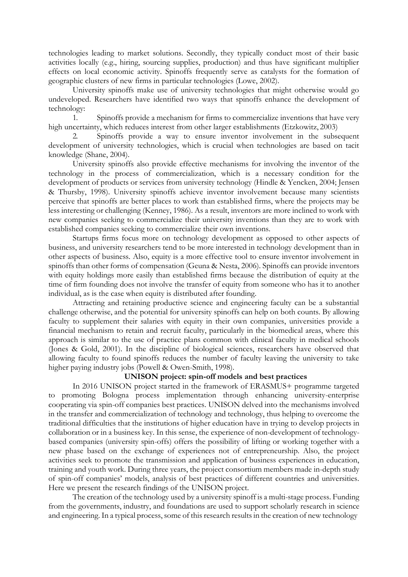technologies leading to market solutions. Secondly, they typically conduct most of their basic activities locally (e.g., hiring, sourcing supplies, production) and thus have significant multiplier effects on local economic activity. Spinoffs frequently serve as catalysts for the formation of geographic clusters of new firms in particular technologies (Lowe, 2002).

University spinoffs make use of university technologies that might otherwise would go undeveloped. Researchers have identified two ways that spinoffs enhance the development of technology:

1. Spinoffs provide a mechanism for firms to commercialize inventions that have very high uncertainty, which reduces interest from other larger establishments (Etzkowitz, 2003)

2. Spinoffs provide a way to ensure inventor involvement in the subsequent development of university technologies, which is crucial when technologies are based on tacit knowledge (Shane, 2004).

University spinoffs also provide effective mechanisms for involving the inventor of the technology in the process of commercialization, which is a necessary condition for the development of products or services from university technology (Hindle & Yencken, 2004; Jensen & Thursby, 1998). University spinoffs achieve inventor involvement because many scientists perceive that spinoffs are better places to work than established firms, where the projects may be less interesting or challenging (Kenney, 1986). As a result, inventors are more inclined to work with new companies seeking to commercialize their university inventions than they are to work with established companies seeking to commercialize their own inventions.

Startups firms focus more on technology development as opposed to other aspects of business, and university researchers tend to be more interested in technology development than in other aspects of business. Also, equity is a more effective tool to ensure inventor involvement in spinoffs than other forms of compensation (Geuna & Nesta, 2006). Spinoffs can provide inventors with equity holdings more easily than established firms because the distribution of equity at the time of firm founding does not involve the transfer of equity from someone who has it to another individual, as is the case when equity is distributed after founding.

Attracting and retaining productive science and engineering faculty can be a substantial challenge otherwise, and the potential for university spinoffs can help on both counts. By allowing faculty to supplement their salaries with equity in their own companies, universities provide a financial mechanism to retain and recruit faculty, particularly in the biomedical areas, where this approach is similar to the use of practice plans common with clinical faculty in medical schools (Jones & Gold, 2001). In the discipline of biological sciences, researchers have observed that allowing faculty to found spinoffs reduces the number of faculty leaving the university to take higher paying industry jobs (Powell & Owen-Smith, 1998).

## **UNISON project: spin-off models and best practices**

In 2016 UNISON project started in the framework of ERASMUS+ programme targeted to promoting Bologna process implementation through enhancing university-enterprise cooperating via spin-off companies best practices. UNISON delved into the mechanisms involved in the transfer and commercialization of technology and technology, thus helping to overcome the traditional difficulties that the institutions of higher education have in trying to develop projects in collaboration or in a business key. In this sense, the experience of non-development of technologybased companies (university spin-offs) offers the possibility of lifting or working together with a new phase based on the exchange of experiences not of entrepreneurship. Also, the project activities seek to promote the transmission and application of business experiences in education, training and youth work. During three years, the project consortium members made in-depth study of spin-off companies' models, analysis of best practices of different countries and universities. Here we present the research findings of the UNISON project.

The creation of the technology used by a university spinoff is a multi-stage process. Funding from the governments, industry, and foundations are used to support scholarly research in science and engineering. In a typical process, some of this research results in the creation of new technology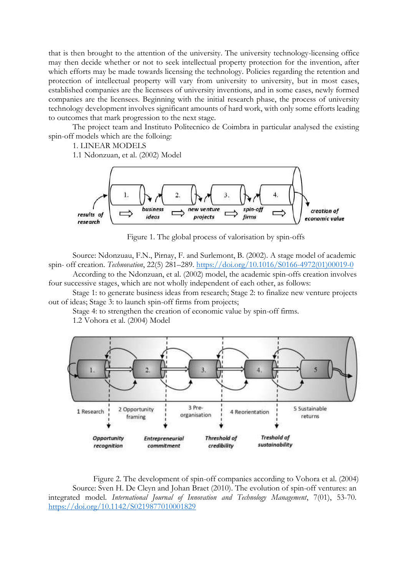that is then brought to the attention of the university. The university technology-licensing office may then decide whether or not to seek intellectual property protection for the invention, after which efforts may be made towards licensing the technology. Policies regarding the retention and protection of intellectual property will vary from university to university, but in most cases, established companies are the licensees of university inventions, and in some cases, newly formed companies are the licensees. Beginning with the initial research phase, the process of university technology development involves significant amounts of hard work, with only some efforts leading to outcomes that mark progression to the next stage.

The project team and Instituto Politecnico de Coimbra in particular analysed the existing spin-off models which are the folloing:

1. LINEAR MODELS

1.1 Ndonzuan, et al. (2002) Model



Figure 1. The global process of valorisation by spin-offs

Source: Ndonzuau, F.N., Pirnay, F. and Surlemont, B. (2002). A stage model of academic spin- off creation. *Technovation*, 22(5) 281–289. [https://doi.org/10.1016/S0166-4972\(01\)00019-0](https://doi.org/10.1016/S0166-4972(01)00019-0)

According to the Ndonzuan, et al. (2002) model, the academic spin-offs creation involves four successive stages, which are not wholly independent of each other, as follows:

Stage 1: to generate business ideas from research; Stage 2: to finalize new venture projects out of ideas; Stage 3: to launch spin-off firms from projects;

Stage 4: to strengthen the creation of economic value by spin-off firms.

1.2 Vohora et al. (2004) Model



Figure 2. The development of spin-off companies according to Vohora et al. (2004) Source: Sven H. De Cleyn and Johan Braet (2010). The evolution of spin-off ventures: an integrated model. *International Journal of Innovation and Technology Management*, 7(01), 53-70. <https://doi.org/10.1142/S0219877010001829>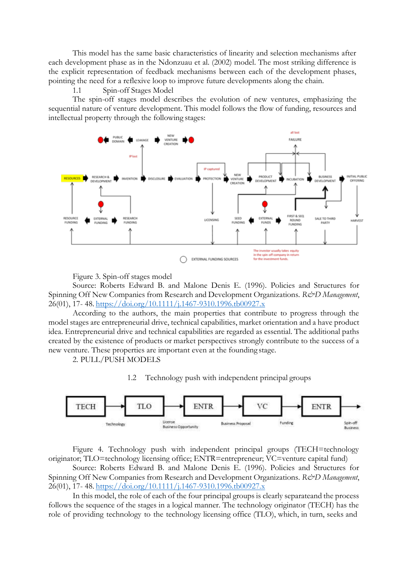This model has the same basic characteristics of linearity and selection mechanisms after each development phase as in the Ndonzuau et al. (2002) model. The most striking difference is the explicit representation of feedback mechanisms between each of the development phases, pointing the need for a reflexive loop to improve future developments along the chain.

## 1.1 Spin-off Stages Model

The spin-off stages model describes the evolution of new ventures, emphasizing the sequential nature of venture development. This model follows the flow of funding, resources and intellectual property through the following stages:



Figure 3. Spin-off stages model

Source: Roberts Edward B. and Malone Denis E. (1996). Policies and Structures for Spinning Off New Companies from Research and Development Organizations. *R&D Management*, 26(01), 17- 48. <https://doi.org/10.1111/j.1467-9310.1996.tb00927.x>

According to the authors, the main properties that contribute to progress through the model stages are entrepreneurial drive, technical capabilities, market orientation and a have product idea. Entrepreneurial drive and technical capabilities are regarded as essential. The additional paths created by the existence of products or market perspectives strongly contribute to the success of a new venture. These properties are important even at the founding stage.

2. PULL/PUSH MODELS

1.2 Technology push with independent principal groups



Figure 4. Technology push with independent principal groups (TECH=technology originator; TLO=technology licensing office; ENTR=entrepreneur; VC=venture capital fund)

Source: Roberts Edward B. and Malone Denis E. (1996). Policies and Structures for Spinning Off New Companies from Research and Development Organizations. *R&D Management*, 26(01), 17- 48. <https://doi.org/10.1111/j.1467-9310.1996.tb00927.x>

In this model, the role of each of the four principal groups is clearly separateand the process follows the sequence of the stages in a logical manner. The technology originator (TECH) has the role of providing technology to the technology licensing office (TLO), which, in turn, seeks and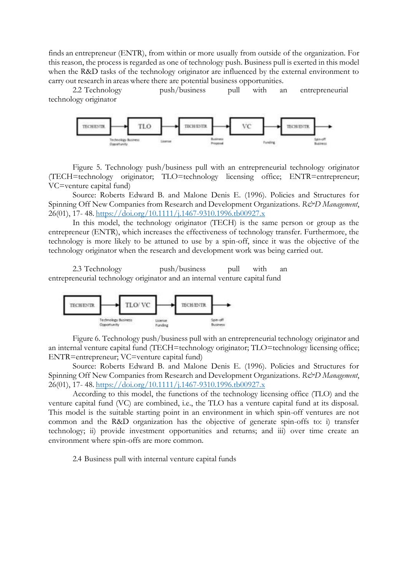finds an entrepreneur (ENTR), from within or more usually from outside of the organization. For this reason, the process is regarded as one of technology push. Business pull is exerted in this model when the R&D tasks of the technology originator are influenced by the external environment to carry out research in areas where there are potential business opportunities.

2.2 Technology push/business pull with an entrepreneurial technology originator



Figure 5. Technology push/business pull with an entrepreneurial technology originator (TECH=technology originator; TLO=technology licensing office; ENTR=entrepreneur; VC=venture capital fund)

Source: Roberts Edward B. and Malone Denis E. (1996). Policies and Structures for Spinning Off New Companies from Research and Development Organizations. *R&D Management*, 26(01), 17- 48. <https://doi.org/10.1111/j.1467-9310.1996.tb00927.x>

In this model, the technology originator (TECH) is the same person or group as the entrepreneur (ENTR), which increases the effectiveness of technology transfer. Furthermore, the technology is more likely to be attuned to use by a spin-off, since it was the objective of the technology originator when the research and development work was being carried out.

2.3 Technology push/business pull with an entrepreneurial technology originator and an internal venture capital fund



Figure 6. Technology push/business pull with an entrepreneurial technology originator and an internal venture capital fund (TECH=technology originator; TLO=technology licensing office; ENTR=entrepreneur; VC=venture capital fund)

Source: Roberts Edward B. and Malone Denis E. (1996). Policies and Structures for Spinning Off New Companies from Research and Development Organizations. *R&D Management*, 26(01), 17- 48. <https://doi.org/10.1111/j.1467-9310.1996.tb00927.x>

According to this model, the functions of the technology licensing office (TLO) and the venture capital fund (VC) are combined, i.e., the TLO has a venture capital fund at its disposal. This model is the suitable starting point in an environment in which spin-off ventures are not common and the R&D organization has the objective of generate spin-offs to: i) transfer technology; ii) provide investment opportunities and returns; and iii) over time create an environment where spin-offs are more common.

2.4 Business pull with internal venture capital funds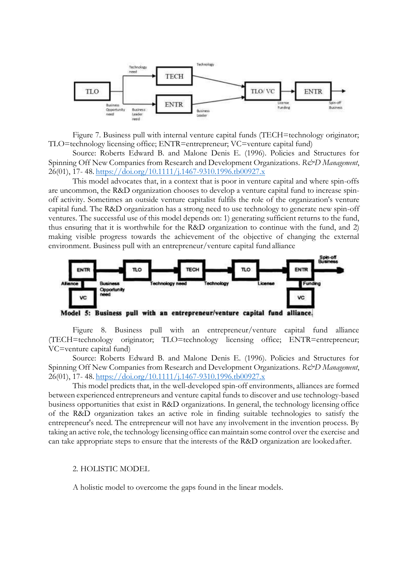

Figure 7. Business pull with internal venture capital funds (TECH=technology originator; TLO=technology licensing office; ENTR=entrepreneur; VC=venture capital fund)

Source: Roberts Edward B. and Malone Denis E. (1996). Policies and Structures for Spinning Off New Companies from Research and Development Organizations. *R&D Management*, 26(01), 17- 48. <https://doi.org/10.1111/j.1467-9310.1996.tb00927.x>

This model advocates that, in a context that is poor in venture capital and where spin-offs are uncommon, the R&D organization chooses to develop a venture capital fund to increase spinoff activity. Sometimes an outside venture capitalist fulfils the role of the organization's venture capital fund. The R&D organization has a strong need to use technology to generate new spin-off ventures. The successful use of this model depends on: 1) generating sufficient returns to the fund, thus ensuring that it is worthwhile for the R&D organization to continue with the fund, and 2) making visible progress towards the achievement of the objective of changing the external environment. Business pull with an entrepreneur/venture capital fund alliance



Figure 8. Business pull with an entrepreneur/venture capital fund alliance (TECH=technology originator; TLO=technology licensing office; ENTR=entrepreneur; VC=venture capital fund)

Source: Roberts Edward B. and Malone Denis E. (1996). Policies and Structures for Spinning Off New Companies from Research and Development Organizations. *R&D Management*, 26(01), 17- 48. <https://doi.org/10.1111/j.1467-9310.1996.tb00927.x>

This model predicts that, in the well-developed spin-off environments, alliances are formed between experienced entrepreneurs and venture capital funds to discover and use technology-based business opportunities that exist in R&D organizations. In general, the technology licensing office of the R&D organization takes an active role in finding suitable technologies to satisfy the entrepreneur's need. The entrepreneur will not have any involvement in the invention process. By taking an active role, the technology licensing office can maintain some control over the exercise and can take appropriate steps to ensure that the interests of the R&D organization are lookedafter.

#### 2. HOLISTIC MODEL

A holistic model to overcome the gaps found in the linear models.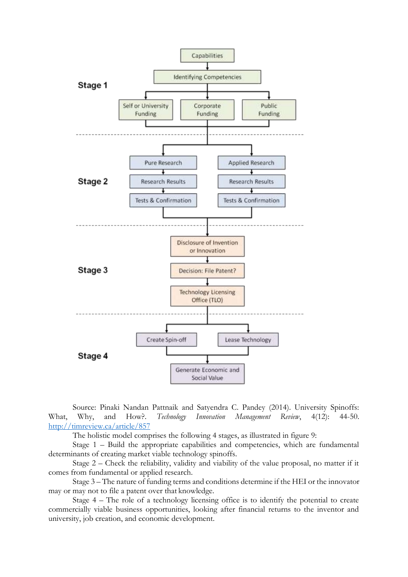

Source: Pinaki Nandan Pattnaik and Satyendra C. Pandey (2014). University Spinoffs: What, Why, and How?. *Technology Innovation Management Review*, 4(12): 44-50. <http://timreview.ca/article/857>

The holistic model comprises the following 4 stages, as illustrated in figure 9:

Stage 1 – Build the appropriate capabilities and competencies, which are fundamental determinants of creating market viable technology spinoffs.

Stage 2 – Check the reliability, validity and viability of the value proposal, no matter if it comes from fundamental or applied research.

Stage 3 – The nature of funding terms and conditions determine if the HEI or the innovator may or may not to file a patent over that knowledge.

Stage 4 – The role of a technology licensing office is to identify the potential to create commercially viable business opportunities, looking after financial returns to the inventor and university, job creation, and economic development.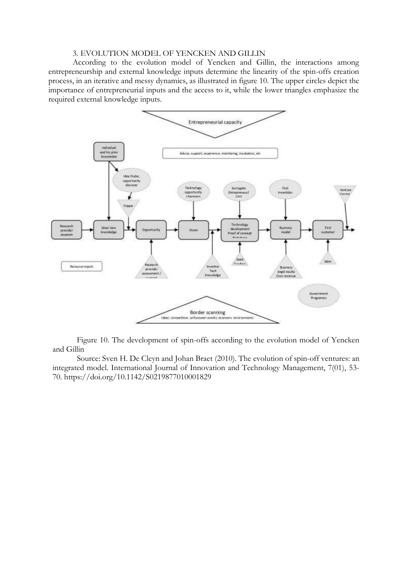### 3. EVOLUTION MODEL OF YENCKEN AND GILLIN

According to the evolution model of Yencken and Gillin, the interactions among entrepreneurship and external knowledge inputs determine the linearity of the spin-offs creation process, in an iterative and messy dynamics, as illustrated in figure 10. The upper circles depict the importance of entrepreneurial inputs and the access to it, while the lower triangles emphasize the required external knowledge inputs.



Figure 10. The development of spin-offs according to the evolution model of Yencken and Gillin

Source: Sven H. De Cleyn and Johan Braet (2010). The evolution of spin-off ventures: an integrated model. International Journal of Innovation and Technology Management, 7(01), 53- 70. https://doi.org/10.1142/S0219877010001829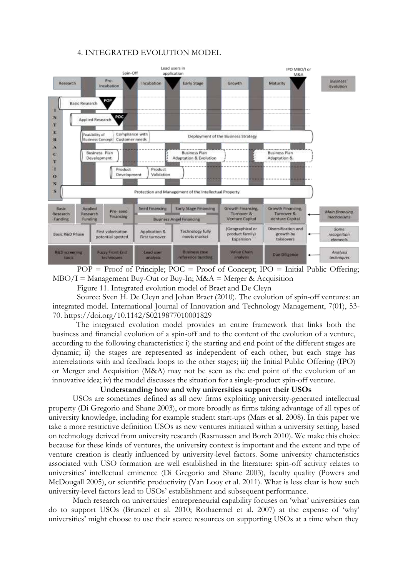### 4. INTEGRATED EVOLUTION MODEL



 $POP = Proof of Principle;  $POC = Proof of Concept;  $IDO = Initial Public Officer;$$$  $MBO/I =$  Management Buy-Out or Buy-In; M&A = Merger & Acquisition

Figure 11. Integrated evolution model of Braet and De Cleyn

Source: Sven H. De Cleyn and Johan Braet (2010). The evolution of spin-off ventures: an integrated model. International Journal of Innovation and Technology Management, 7(01), 53- 70. https://doi.org/10.1142/S0219877010001829

The integrated evolution model provides an entire framework that links both the business and financial evolution of a spin-off and to the content of the evolution of a venture, according to the following characteristics: i) the starting and end point of the different stages are dynamic; ii) the stages are represented as independent of each other, but each stage has interrelations with and feedback loops to the other stages; iii) the Initial Public Offering (IPO) or Merger and Acquisition (M&A) may not be seen as the end point of the evolution of an innovative idea; iv) the model discusses the situation for a single-product spin-off venture.

## **Understanding how and why universities support their USOs**

USOs are sometimes defined as all new firms exploiting university-generated intellectual property (Di Gregorio and Shane 2003), or more broadly as firms taking advantage of all types of university knowledge, including for example student start-ups (Mars et al. 2008). In this paper we take a more restrictive definition USOs as new ventures initiated within a university setting, based on technology derived from university research (Rasmussen and Borch 2010). We make this choice because for these kinds of ventures, the university context is important and the extent and type of venture creation is clearly influenced by university-level factors. Some university characteristics associated with USO formation are well established in the literature: spin-off activity relates to universities' intellectual eminence (Di Gregorio and Shane 2003), faculty quality (Powers and McDougall 2005), or scientific productivity (Van Looy et al. 2011). What is less clear is how such university-level factors lead to USOs' establishment and subsequent performance.

Much research on universities' entrepreneurial capability focuses on 'what' universities can do to support USOs (Bruneel et al. 2010; Rothaermel et al. 2007) at the expense of 'why' universities' might choose to use their scarce resources on supporting USOs at a time when they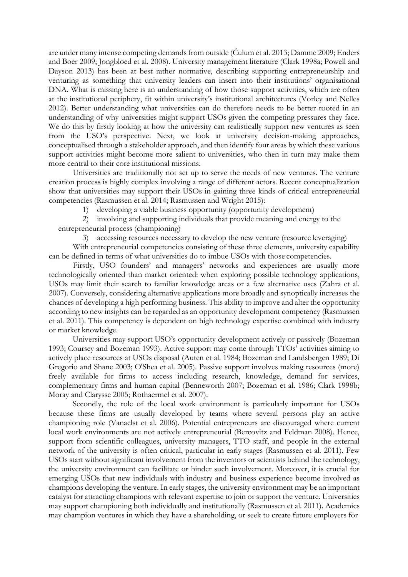are under many intense competing demands from outside (Ćulum et al. 2013; Damme 2009; Enders and Boer 2009; Jongbloed et al. 2008). University management literature (Clark 1998a; Powell and Dayson 2013) has been at best rather normative, describing supporting entrepreneurship and venturing as something that university leaders can insert into their institutions' organisational DNA. What is missing here is an understanding of how those support activities, which are often at the institutional periphery, fit within university's institutional architectures (Vorley and Nelles 2012). Better understanding what universities can do therefore needs to be better rooted in an understanding of why universities might support USOs given the competing pressures they face. We do this by firstly looking at how the university can realistically support new ventures as seen from the USO's perspective. Next, we look at university decision-making approaches, conceptualised through a stakeholder approach, and then identify four areas by which these various support activities might become more salient to universities, who then in turn may make them more central to their core institutional missions.

Universities are traditionally not set up to serve the needs of new ventures. The venture creation process is highly complex involving a range of different actors. Recent conceptualization show that universities may support their USOs in gaining three kinds of critical entrepreneurial competencies (Rasmussen et al. 2014; Rasmussen and Wright 2015):

1) developing a viable business opportunity (opportunity development)

2) involving and supporting individuals that provide meaning and energy to the entrepreneurial process (championing)

3) accessing resources necessary to develop the new venture (resource leveraging)

With entrepreneurial competencies consisting of these three elements, university capability can be defined in terms of what universities do to imbue USOs with those competencies.

Firstly, USO founders' and managers' networks and experiences are usually more technologically oriented than market oriented: when exploring possible technology applications, USOs may limit their search to familiar knowledge areas or a few alternative uses (Zahra et al. 2007). Conversely, considering alternative applications more broadly and synoptically increases the chances of developing a high performing business. This ability to improve and alter the opportunity according to new insights can be regarded as an opportunity development competency (Rasmussen et al. 2011). This competency is dependent on high technology expertise combined with industry or market knowledge.

Universities may support USO's opportunity development actively or passively (Bozeman 1993; Coursey and Bozeman 1993). Active support may come through TTOs' activities aiming to actively place resources at USOs disposal (Auten et al. 1984; Bozeman and Landsbergen 1989; Di Gregorio and Shane 2003; O'Shea et al. 2005). Passive support involves making resources (more) freely available for firms to access including research, knowledge, demand for services, complementary firms and human capital (Benneworth 2007; Bozeman et al. 1986; Clark 1998b; Moray and Clarysse 2005; Rothaermel et al. 2007).

Secondly, the role of the local work environment is particularly important for USOs because these firms are usually developed by teams where several persons play an active championing role (Vanaelst et al. 2006). Potential entrepreneurs are discouraged where current local work environments are not actively entrepreneurial (Bercovitz and Feldman 2008). Hence, support from scientific colleagues, university managers, TTO staff, and people in the external network of the university is often critical, particular in early stages (Rasmussen et al. 2011). Few USOs start without significant involvement from the inventors or scientists behind the technology, the university environment can facilitate or hinder such involvement. Moreover, it is crucial for emerging USOs that new individuals with industry and business experience become involved as champions developing the venture. In early stages, the university environment may be an important catalyst for attracting champions with relevant expertise to join or support the venture. Universities may support championing both individually and institutionally (Rasmussen et al. 2011). Academics may champion ventures in which they have a shareholding, or seek to create future employers for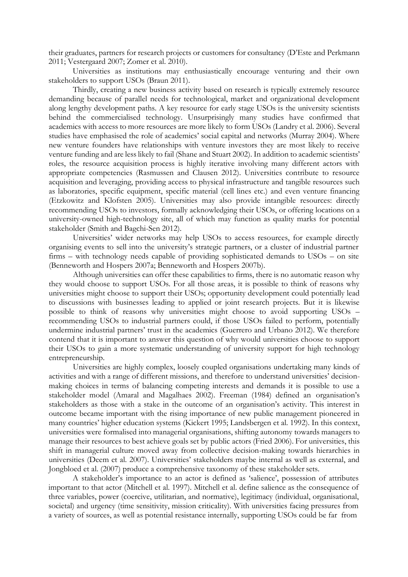their graduates, partners for research projects or customers for consultancy (D'Este and Perkmann 2011; Vestergaard 2007; Zomer et al. 2010).

Universities as institutions may enthusiastically encourage venturing and their own stakeholders to support USOs (Braun 2011).

Thirdly, creating a new business activity based on research is typically extremely resource demanding because of parallel needs for technological, market and organizational development along lengthy development paths. A key resource for early stage USOs is the university scientists behind the commercialised technology. Unsurprisingly many studies have confirmed that academics with access to more resources are more likely to form USOs (Landry et al. 2006). Several studies have emphasised the role of academics' social capital and networks (Murray 2004). Where new venture founders have relationships with venture investors they are most likely to receive venture funding and are less likely to fail (Shane and Stuart 2002). In addition to academic scientists' roles, the resource acquisition process is highly iterative involving many different actors with appropriate competencies (Rasmussen and Clausen 2012). Universities contribute to resource acquisition and leveraging, providing access to physical infrastructure and tangible resources such as laboratories, specific equipment, specific material (cell lines etc.) and even venture financing (Etzkowitz and Klofsten 2005). Universities may also provide intangible resources: directly recommending USOs to investors, formally acknowledging their USOs, or offering locations on a university-owned high-technology site, all of which may function as quality marks for potential stakeholder (Smith and Bagchi-Sen 2012).

Universities' wider networks may help USOs to access resources, for example directly organising events to sell into the university's strategic partners, or a cluster of industrial partner firms – with technology needs capable of providing sophisticated demands to USOs – on site (Benneworth and Hospers 2007a; Benneworth and Hospers 2007b).

Although universities can offer these capabilities to firms, there is no automatic reason why they would choose to support USOs. For all those areas, it is possible to think of reasons why universities might choose to support their USOs; opportunity development could potentially lead to discussions with businesses leading to applied or joint research projects. But it is likewise possible to think of reasons why universities might choose to avoid supporting USOs – recommending USOs to industrial partners could, if those USOs failed to perform, potentially undermine industrial partners' trust in the academics (Guerrero and Urbano 2012). We therefore contend that it is important to answer this question of why would universities choose to support their USOs to gain a more systematic understanding of university support for high technology entrepreneurship.

Universities are highly complex, loosely coupled organisations undertaking many kinds of activities and with a range of different missions, and therefore to understand universities' decisionmaking choices in terms of balancing competing interests and demands it is possible to use a stakeholder model (Amaral and Magalhaes 2002). Freeman (1984) defined an organisation's stakeholders as those with a stake in the outcome of an organisation's activity. This interest in outcome became important with the rising importance of new public management pioneered in many countries' higher education systems (Kickert 1995; Landsbergen et al. 1992). In this context, universities were formalised into managerial organisations, shifting autonomy towards managers to manage their resources to best achieve goals set by public actors (Fried 2006). For universities, this shift in managerial culture moved away from collective decision-making towards hierarchies in universities (Deem et al. 2007). Universities' stakeholders maybe internal as well as external, and Jongbloed et al. (2007) produce a comprehensive taxonomy of these stakeholder sets.

A stakeholder's importance to an actor is defined as 'salience', possession of attributes important to that actor (Mitchell et al. 1997). Mitchell et al. define salience as the consequence of three variables, power (coercive, utilitarian, and normative), legitimacy (individual, organisational, societal) and urgency (time sensitivity, mission criticality). With universities facing pressures from a variety of sources, as well as potential resistance internally, supporting USOs could be far from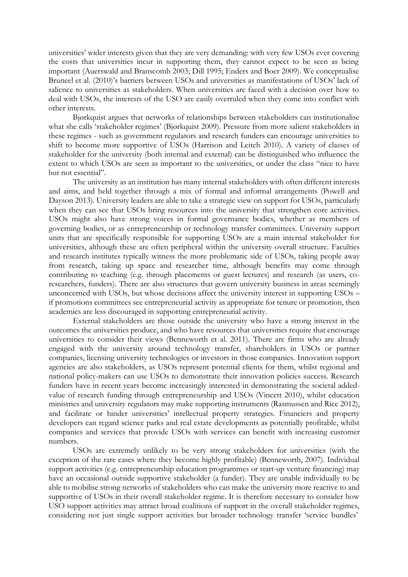universities' wider interests given that they are very demanding: with very few USOs ever covering the costs that universities incur in supporting them, they cannot expect to be seen as being important (Auerswald and Branscomb 2003; Dill 1995; Enders and Boer 2009). We conceptualise Bruneel et al. (2010)'s barriers between USOs and universities as manifestations of USOs' lack of salience to universities as stakeholders. When universities are faced with a decision over how to deal with USOs, the interests of the USO are easily overruled when they come into conflict with other interests.

Bjørkquist argues that networks of relationships between stakeholders can institutionalise what she calls 'stakeholder regimes' (Bjørkquist 2009). Pressure from more salient stakeholders in these regimes - such as government regulators and research funders can encourage universities to shift to become more supportive of USOs (Harrison and Leitch 2010). A variety of classes of stakeholder for the university (both internal and external) can be distinguished who influence the extent to which USOs are seen as important to the universities, or under the class "nice to have but not essential".

The university as an institution has many internal stakeholders with often different interests and aims, and held together through a mix of formal and informal arrangements (Powell and Dayson 2013). University leaders are able to take a strategic view on support for USOs, particularly when they can see that USOs bring resources into the university that strengthen core activities. USOs might also have strong voices in formal governance bodies, whether as members of governing bodies, or as entrepreneurship or technology transfer committees. University support units that are specifically responsible for supporting USOs are a main internal stakeholder for universities, although these are often peripheral within the university overall structure. Faculties and research institutes typically witness the more problematic side of USOs, taking people away from research, taking up space and researcher time, although benefits may come through contributing to teaching (e.g. through placements or guest lectures) and research (as users, coresearchers, funders). There are also structures that govern university business in areas seemingly unconcerned with USOs, but whose decisions affect the university interest in supporting USOs – if promotions committees see entrepreneurial activity as appropriate for tenure or promotion, then academics are less discouraged in supporting entrepreneurial activity.

External stakeholders are those outside the university who have a strong interest in the outcomes the universities produce, and who have resources that universities require that encourage universities to consider their views (Benneworth et al. 2011). There are firms who are already engaged with the university around technology transfer, shareholders in USOs or partner companies, licensing university technologies or investors in those companies. Innovation support agencies are also stakeholders, as USOs represent potential clients for them, whilst regional and national policy-makers can use USOs to demonstrate their innovation policies success. Research funders have in recent years become increasingly interested in demonstrating the societal addedvalue of research funding through entrepreneurship and USOs (Vincett 2010), whilst education ministries and university regulators may make supporting instruments (Rasmussen and Rice 2012), and facilitate or hinder universities' intellectual property strategies. Financiers and property developers can regard science parks and real estate developments as potentially profitable, whilst companies and services that provide USOs with services can benefit with increasing customer numbers.

USOs are extremely unlikely to be very strong stakeholders for universities (with the exception of the rare cases where they become highly profitable) (Benneworth, 2007). Individual support activities (e.g. entrepreneurship education programmes or start-up venture financing) may have an occasional outside supportive stakeholder (a funder). They are unable individually to be able to mobilise strong networks of stakeholders who can make the university more reactive to and supportive of USOs in their overall stakeholder regime. It is therefore necessary to consider how USO support activities may attract broad coalitions of support in the overall stakeholder regimes, considering not just single support activities but broader technology transfer 'service bundles'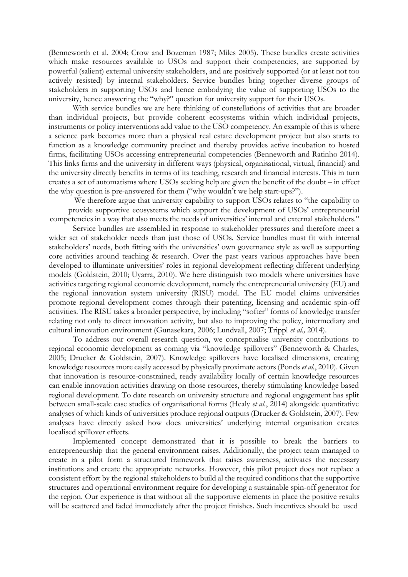(Benneworth et al. 2004; Crow and Bozeman 1987; Miles 2005). These bundles create activities which make resources available to USOs and support their competencies, are supported by powerful (salient) external university stakeholders, and are positively supported (or at least not too actively resisted) by internal stakeholders. Service bundles bring together diverse groups of stakeholders in supporting USOs and hence embodying the value of supporting USOs to the university, hence answering the "why?" question for university support for their USOs.

With service bundles we are here thinking of constellations of activities that are broader than individual projects, but provide coherent ecosystems within which individual projects, instruments or policy interventions add value to the USO competency. An example of this is where a science park becomes more than a physical real estate development project but also starts to function as a knowledge community precinct and thereby provides active incubation to hosted firms, facilitating USOs accessing entrepreneurial competencies (Benneworth and Ratinho 2014). This links firms and the university in different ways (physical, organisational, virtual, financial) and the university directly benefits in terms of its teaching, research and financial interests. This in turn creates a set of automatisms where USOs seeking help are given the benefit of the doubt – in effect the why question is pre-answered for them ("why wouldn't we help start-ups?").

We therefore argue that university capability to support USOs relates to "the capability to provide supportive ecosystems which support the development of USOs' entrepreneurial competencies in a way that also meets the needs of universities' internal and external stakeholders."

Service bundles are assembled in response to stakeholder pressures and therefore meet a wider set of stakeholder needs than just those of USOs. Service bundles must fit with internal stakeholders' needs, both fitting with the universities' own governance style as well as supporting core activities around teaching & research. Over the past years various approaches have been developed to illuminate universities' roles in regional development reflecting different underlying models (Goldstein, 2010; Uyarra, 2010). We here distinguish two models where universities have activities targeting regional economic development, namely the entrepreneurial university (EU) and the regional innovation system university (RISU) model. The EU model claims universities promote regional development comes through their patenting, licensing and academic spin-off activities. The RISU takes a broader perspective, by including "softer" forms of knowledge transfer relating not only to direct innovation activity, but also to improving the policy, intermediary and cultural innovation environment (Gunasekara, 2006; Lundvall, 2007; Trippl *et al.,* 2014).

To address our overall research question, we conceptualise university contributions to regional economic development as coming via "knowledge spillovers" (Benneworth & Charles, 2005; Drucker & Goldstein, 2007). Knowledge spillovers have localised dimensions, creating knowledge resources more easily accessed by physically proximate actors (Ponds *et al.*, 2010). Given that innovation is resource-constrained, ready availability locally of certain knowledge resources can enable innovation activities drawing on those resources, thereby stimulating knowledge based regional development. To date research on university structure and regional engagement has split between small-scale case studies of organisational forms (Healy *et al.*, 2014) alongside quantitative analyses of which kinds of universities produce regional outputs (Drucker & Goldstein, 2007). Few analyses have directly asked how does universities' underlying internal organisation creates localised spillover effects.

Implemented concept demonstrated that it is possible to break the barriers to entrepreneurship that the general environment raises. Additionally, the project team managed to create in a pilot form a structured framework that raises awareness, activates the necessary institutions and create the appropriate networks. However, this pilot project does not replace a consistent effort by the regional stakeholders to build al the required conditions that the supportive structures and operational environment require for developing a sustainable spin-off generator for the region. Our experience is that without all the supportive elements in place the positive results will be scattered and faded immediately after the project finishes. Such incentives should be used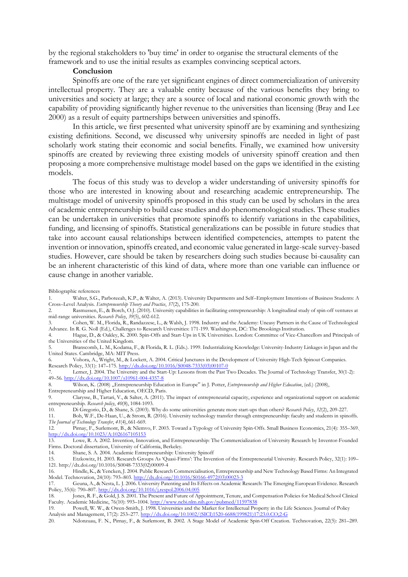by the regional stakeholders to 'buy time' in order to organise the structural elements of the framework and to use the initial results as examples convincing sceptical actors.

### **Conclusion**

Spinoffs are one of the rare yet significant engines of direct commercialization of university intellectual property. They are a valuable entity because of the various benefits they bring to universities and society at large; they are a source of local and national economic growth with the capability of providing significantly higher revenue to the universities than licensing (Bray and Lee 2000) as a result of equity partnerships between universities and spinoffs.

In this article, we first presented what university spinoff are by examining and synthesizing existing definitions. Second, we discussed why university spinoffs are needed in light of past scholarly work stating their economic and social benefits. Finally, we examined how university spinoffs are created by reviewing three existing models of university spinoff creation and then proposing a more comprehensive multistage model based on the gaps we identified in the existing models.

The focus of this study was to develop a wider understanding of university spinoffs for those who are interested in knowing about and researching academic entrepreneurship. The multistage model of university spinoffs proposed in this study can be used by scholars in the area of academic entrepreneurship to build case studies and do phenomenological studies. These studies can be undertaken in universities that promote spinoffs to identify variations in the capabilities, funding, and licensing of spinoffs. Statistical generalizations can be possible in future studies that take into account causal relationships between identified competencies, attempts to patent the invention or innovation, spinoffs created, and economic value generated in large-scale survey-based studies. However, care should be taken by researchers doing such studies because bi-causality can be an inherent characteristic of this kind of data, where more than one variable can influence or cause change in another variable.

6. Vohora, A., Wright, M., & Lockett, A. 2004. Critical Junctures in the Development of University High-Tech Spinout Companies. Research Policy, 33(1): 147–175. [http://dx.doi.org/10.1016/S0048-7333\(03\)00107-0](http://dx.doi.org/10.1016/S0048-7333(03)00107-0)

7. Lerner, J. 2004. The University and the Start-Up: Lessons from the Past Two Decades. The Journal of Technology Transfer, 30(1-2): 49–56. <http://dx.doi.org/10.1007/s10961-004-4357-8><br>8. Wilson, K. (2008), Entrepreneurship Educ

Bibliographic references

<sup>1.</sup> Walter, S.G., Parboteeah, K.P., & Walter, A. (2013). University Departments and Self–Employment Intentions of Business Students: A Cross–Level Analysis. *Entrepreneurship Theory and Practice*, *37*(2), 175-200.

<sup>2.</sup> Rasmussen, E., & Borch, O.J. (2010). University capabilities in facilitating entrepreneurship: A longitudinal study of spin-off ventures at mid-range universities. *Research Policy*, *39*(5), 602-612.

<sup>3.</sup> Cohen, W. M., Florida, R., Randazzese, L., & Walsh, J. 1998. Industry and the Academy: Uneasy Partners in the Cause of Technological Advance. In R. G. Noll (Ed.), Challenges to Research Universities: 171-199. Washington, DC: The Brookings Institution.

<sup>4.</sup> Hague, D., & Oakley, K. 2000. Spin-Offs and Start-Ups in UK Universities. London: Committee of Vice-Chancellors and Principals of the Universities of the United Kingdom.

<sup>5.</sup> Branscomb, L. M., Kodama, F., & Florida, R. L. (Eds.). 1999. Industrializing Knowledge: University-Industry Linkages in Japan and the United States. Cambridge, MA: MIT Press.

<sup>8.</sup> Wilson, K. (2008) "Entrepreneurship Education in Europe" in J. Potter, *Entrepreneurship and Higher Education*, (ed.) (2008), Entrepreneurship and Higher Education, OECD, Paris.<br>9. Clarvsse, B., Tartari, V., & Salter, A. (2011).

<sup>9.</sup> Clarysse, B., Tartari, V., & Salter, A. (2011). The impact of entrepreneurial capacity, experience and organizational support on academic entrepreneurship. *Research policy*, *40*(8), 1084-1093.

<sup>10.</sup> Di Gregorio, D., & Shane, S. (2003). Why do some universities generate more start-ups than others? *Research Policy*, *32*(2), 209-227.

<sup>11.</sup> Boh, W.F., De-Haan, U., & Strom, R. (2016). University technology transfer through entrepreneurship: faculty and students in spinoffs.

*The Journal of Technology Transfer*, *41*(4), 661-669.

<sup>12.</sup> Pirnay, F., Surlemont, B., & Nlemvo, F. 2003. Toward a Typology of University Spin-Offs. Small Business Economics, 21(4): 355–369. http://dx.doi.org/10.1023/A:1026167105153<br>13. Lowe, R. A. 2002. Invention, Inno

Lowe, R. A. 2002. Invention, Innovation, and Entrepreneurship: The Commercialization of University Research by Inventor-Founded Firms. Doctoral dissertation, University of California, Berkeley.

<sup>14.</sup> Shane, S. A. 2004. Academic Entrepreneurship: University Spinoff

<sup>15.</sup> Etzkowitz, H. 2003. Research Groups As 'Quasi-Firms': The Invention of the Entrepreneurial University. Research Policy, 32(1): 109– 121. [http://dx.doi.org/10.1016/S0048-7333\(02\)00009-4](http://dx.doi.org/10.1016/S0048-7333(02)00009-4)

<sup>16.</sup> Hindle, K., & Yencken, J. 2004. Public Research Commercialisation, Entrepreneurship and New Technology Based Firms: An Integrated Model. Technovation, 24(10): 793–803. [http://dx.doi.org/10.1016/S0166-4972\(03\)00023-3](http://dx.doi.org/10.1016/S0166-4972(03)00023-3)

<sup>17.</sup> Geuna, A., & Nesta, L. J. 2006. University Patenting and Its Effects on Academic Research: The Emerging European Evidence. Research Policy, 35(6): 790-807. http://dx.doi.org/10.1016/j.respol.2006.04.005 35(6): 790–807. <http://dx.doi.org/10.1016/j.respol.2006.04.005>

<sup>18.</sup> Jones, R. F., & Gold, J. S. 2001. The Present and Future of Appointment, Tenure, and Compensation Policies for Medical School Clinical Faculty. Academic Medicine, 76(10): 993–1004. <http://www.ncbi.nlm.nih.gov/pubmed/11597838>

<sup>19.</sup> Powell, W. W., & Owen-Smith, J. 1998. Universities and the Market for Intellectual Property in the Life Sciences. Journal of Policy Analysis and Management, 17(2): 253–277. http://dx.doi.org/10.1002/(SICI)1520-6688(199821)17:23.0.CO;2-G

<sup>20.</sup> Ndonzuau, F. N., Pirnay, F., & Surlemont, B. 2002. A Stage Model of Academic Spin-Off Creation. Technovation, 22(5): 281–289.